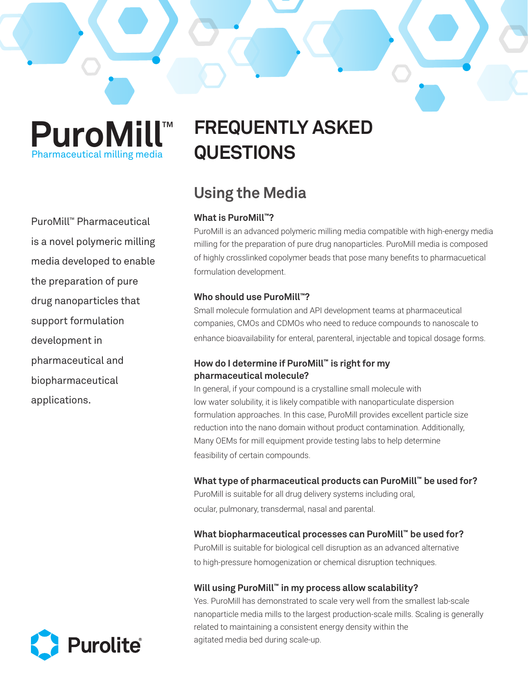**PuroMill**™ Pharmaceutical milling media

PuroMill™ Pharmaceutical is a novel polymeric milling media developed to enable the preparation of pure drug nanoparticles that support formulation development in pharmaceutical and biopharmaceutical applications.



# **Using the Media**

### **What is PuroMill™?**

PuroMill is an advanced polymeric milling media compatible with high-energy media milling for the preparation of pure drug nanoparticles. PuroMill media is composed of highly crosslinked copolymer beads that pose many benefits to pharmacuetical formulation development.

### **Who should use PuroMill™?**

Small molecule formulation and API development teams at pharmaceutical companies, CMOs and CDMOs who need to reduce compounds to nanoscale to enhance bioavailability for enteral, parenteral, injectable and topical dosage forms.

### **How do I determine if PuroMill™ is right for my pharmaceutical molecule?**

In general, if your compound is a crystalline small molecule with low water solubility, it is likely compatible with nanoparticulate dispersion formulation approaches. In this case, PuroMill provides excellent particle size reduction into the nano domain without product contamination. Additionally, Many OEMs for mill equipment provide testing labs to help determine feasibility of certain compounds.

### **What type of pharmaceutical products can PuroMill™ be used for?**

PuroMill is suitable for all drug delivery systems including oral, ocular, pulmonary, transdermal, nasal and parental.

### **What biopharmaceutical processes can PuroMill™ be used for?**

PuroMill is suitable for biological cell disruption as an advanced alternative to high-pressure homogenization or chemical disruption techniques.

### **Will using PuroMill™ in my process allow scalability?**

Yes. PuroMill has demonstrated to scale very well from the smallest lab-scale nanoparticle media mills to the largest production-scale mills. Scaling is generally related to maintaining a consistent energy density within the agitated media bed during scale-up.

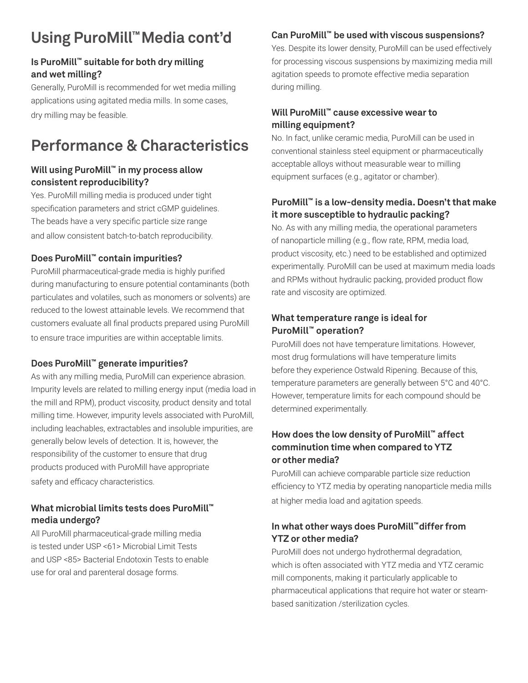# **Using PuroMill™Media cont'd**

### **Is PuroMill™ suitable for both dry milling and wet milling?**

Generally, PuroMill is recommended for wet media milling applications using agitated media mills. In some cases, dry milling may be feasible.

# **Performance & Characteristics**

### **Will using PuroMill™ in my process allow consistent reproducibility?**

Yes. PuroMill milling media is produced under tight specification parameters and strict cGMP guidelines. The beads have a very specific particle size range and allow consistent batch-to-batch reproducibility.

### **Does PuroMill™ contain impurities?**

PuroMill pharmaceutical-grade media is highly purified during manufacturing to ensure potential contaminants (both particulates and volatiles, such as monomers or solvents) are reduced to the lowest attainable levels. We recommend that customers evaluate all final products prepared using PuroMill to ensure trace impurities are within acceptable limits.

### **Does PuroMill™ generate impurities?**

As with any milling media, PuroMill can experience abrasion. Impurity levels are related to milling energy input (media load in the mill and RPM), product viscosity, product density and total milling time. However, impurity levels associated with PuroMill, including leachables, extractables and insoluble impurities, are generally below levels of detection. It is, however, the responsibility of the customer to ensure that drug products produced with PuroMill have appropriate safety and efficacy characteristics.

### **What microbial limits tests does PuroMill™ media undergo?**

All PuroMill pharmaceutical-grade milling media is tested under USP <61> Microbial Limit Tests and USP <85> Bacterial Endotoxin Tests to enable use for oral and parenteral dosage forms.

### **Can PuroMill™ be used with viscous suspensions?**

Yes. Despite its lower density, PuroMill can be used effectively for processing viscous suspensions by maximizing media mill agitation speeds to promote effective media separation during milling.

### **Will PuroMill™ cause excessive wear to milling equipment?**

No. In fact, unlike ceramic media, PuroMill can be used in conventional stainless steel equipment or pharmaceutically acceptable alloys without measurable wear to milling equipment surfaces (e.g., agitator or chamber).

### **PuroMill™ is a low-density media. Doesn't that make it more susceptible to hydraulic packing?**

No. As with any milling media, the operational parameters of nanoparticle milling (e.g., flow rate, RPM, media load, product viscosity, etc.) need to be established and optimized experimentally. PuroMill can be used at maximum media loads and RPMs without hydraulic packing, provided product flow rate and viscosity are optimized.

### **What temperature range is ideal for PuroMill™ operation?**

PuroMill does not have temperature limitations. However, most drug formulations will have temperature limits before they experience Ostwald Ripening. Because of this, temperature parameters are generally between 5°C and 40°C. However, temperature limits for each compound should be determined experimentally.

### **How does the low density of PuroMill™ affect comminution time when compared to YTZ or other media?**

PuroMill can achieve comparable particle size reduction efficiency to YTZ media by operating nanoparticle media mills at higher media load and agitation speeds.

### **In what other ways does PuroMill™differ from YTZ or other media?**

PuroMill does not undergo hydrothermal degradation, which is often associated with YTZ media and YTZ ceramic mill components, making it particularly applicable to pharmaceutical applications that require hot water or steambased sanitization /sterilization cycles.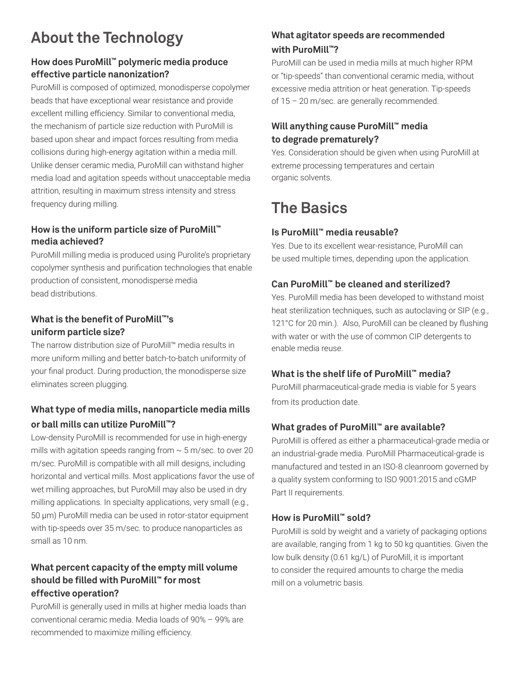# **About the Technology**

### **How does PuroMill™ polymeric media produce effective particle nanonization?**

PuroMill is composed of optimized, monodisperse copolymer beads that have exceptional wear resistance and provide excellent milling efficiency. Similar to conventional media, the mechanism of particle size reduction with PuroMill is based upon shear and impact forces resulting from media collisions during high-energy agitation within a media mill. Unlike denser ceramic media, PuroMill can withstand higher media load and agitation speeds without unacceptable media attrition, resulting in maximum stress intensity and stress frequency during milling.

### **How is the uniform particle size of PuroMill™ media achieved?**

PuroMill milling media is produced using Purolite's proprietary copolymer synthesis and purification technologies that enable production of consistent, monodisperse media bead distributions.

### **What is the benefit of PuroMill™'s uniform particle size?**

The narrow distribution size of PuroMill™ media results in more uniform milling and better batch-to-batch uniformity of your final product. During production, the monodisperse size eliminates screen plugging.

## **What type of media mills, nanoparticle media mills or ball mills can utilize PuroMill™?**

Low-density PuroMill is recommended for use in high-energy mills with agitation speeds ranging from  $\sim$  5 m/sec. to over 20 m/sec. PuroMill is compatible with all mill designs, including horizontal and vertical mills. Most applications favor the use of wet milling approaches, but PuroMill may also be used in dry milling applications. In specialty applications, very small (e.g., 50 µm) PuroMill media can be used in rotor-stator equipment with tip-speeds over 35 m/sec. to produce nanoparticles as small as 10 nm.

### **What percent capacity of the empty mill volume should be filled with PuroMill™ for most effective operation?**

PuroMill is generally used in mills at higher media loads than conventional ceramic media. Media loads of 90% – 99% are recommended to maximize milling efficiency.

# **What agitator speeds are recommended with PuroMill™?**

PuroMill can be used in media mills at much higher RPM or "tip-speeds" than conventional ceramic media, without excessive media attrition or heat generation. Tip-speeds of 15 – 20 m/sec. are generally recommended.

### **Will anything cause PuroMill™ media to degrade prematurely?**

Yes. Consideration should be given when using PuroMill at extreme processing temperatures and certain organic solvents.

# **The Basics**

## **Is PuroMill™ media reusable?**

Yes. Due to its excellent wear-resistance, PuroMill can be used multiple times, depending upon the application.

### **Can PuroMill™ be cleaned and sterilized?**

Yes. PuroMill media has been developed to withstand moist heat sterilization techniques, such as autoclaving or SIP (e.g., 121°C for 20 min.). Also, PuroMill can be cleaned by flushing with water or with the use of common CIP detergents to enable media reuse.

### **What is the shelf life of PuroMill™ media?**

PuroMill pharmaceutical-grade media is viable for 5 years from its production date.

### **What grades of PuroMill™ are available?**

PuroMill is offered as either a pharmaceutical-grade media or an industrial-grade media. PuroMill Pharmaceutical-grade is manufactured and tested in an ISO-8 cleanroom governed by a quality system conforming to ISO 9001:2015 and cGMP Part II requirements.

### **How is PuroMill™ sold?**

PuroMill is sold by weight and a variety of packaging options are available, ranging from 1 kg to 50 kg quantities. Given the low bulk density (0.61 kg/L) of PuroMill, it is important to consider the required amounts to charge the media mill on a volumetric basis.